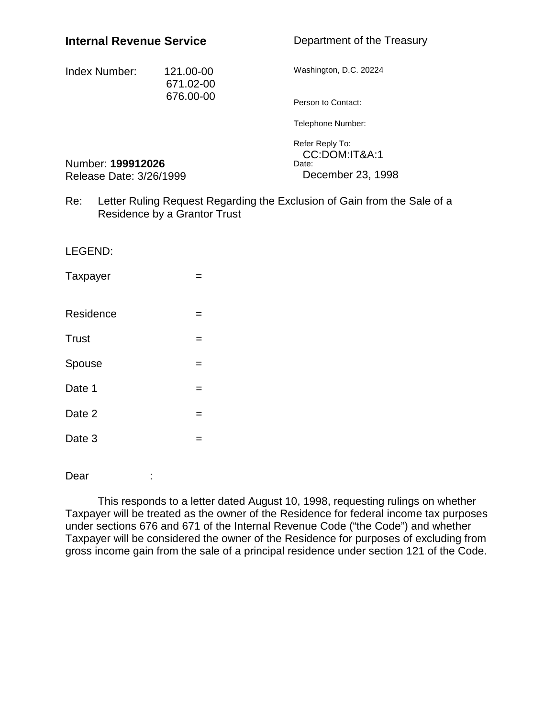## **Internal Revenue Service**

Department of the Treasury

| Index Number: | 121.00-00<br>671.02-00<br>676.00-00 | Washington, D.C. 20224 |
|---------------|-------------------------------------|------------------------|
|               |                                     | Person to Contact:     |
|               |                                     | Telephone Number:      |

Refer Reply To: CC:DOM:IT&A:1 Date: December 23, 1998

Number: **199912026** Release Date: 3/26/1999

Re: Letter Ruling Request Regarding the Exclusion of Gain from the Sale of a Residence by a Grantor Trust

| LEGEND:   |   |
|-----------|---|
| Taxpayer  |   |
| Residence | = |
| Trust     | = |
| Spouse    | = |
| Date 1    |   |
| Date 2    |   |
| Date 3    |   |
|           |   |

Dear :

This responds to a letter dated August 10, 1998, requesting rulings on whether Taxpayer will be treated as the owner of the Residence for federal income tax purposes under sections 676 and 671 of the Internal Revenue Code ("the Code") and whether Taxpayer will be considered the owner of the Residence for purposes of excluding from gross income gain from the sale of a principal residence under section 121 of the Code.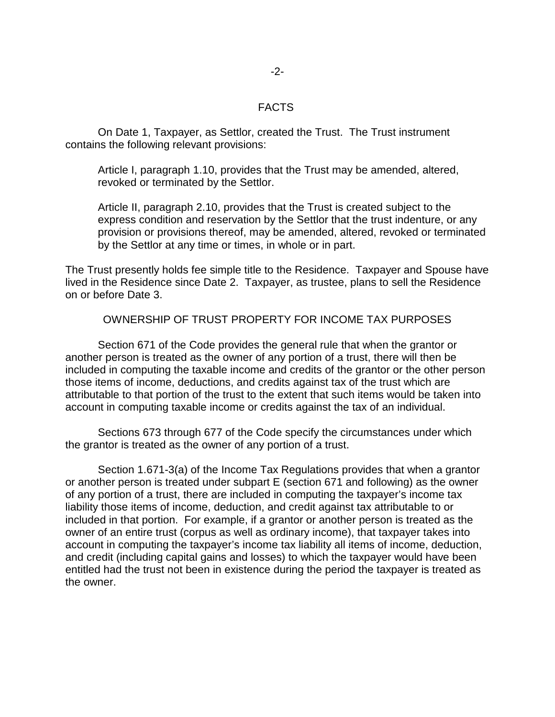## FACTS

On Date 1, Taxpayer, as Settlor, created the Trust. The Trust instrument contains the following relevant provisions:

Article I, paragraph 1.10, provides that the Trust may be amended, altered, revoked or terminated by the Settlor.

Article II, paragraph 2.10, provides that the Trust is created subject to the express condition and reservation by the Settlor that the trust indenture, or any provision or provisions thereof, may be amended, altered, revoked or terminated by the Settlor at any time or times, in whole or in part.

The Trust presently holds fee simple title to the Residence. Taxpayer and Spouse have lived in the Residence since Date 2. Taxpayer, as trustee, plans to sell the Residence on or before Date 3.

OWNERSHIP OF TRUST PROPERTY FOR INCOME TAX PURPOSES

Section 671 of the Code provides the general rule that when the grantor or another person is treated as the owner of any portion of a trust, there will then be included in computing the taxable income and credits of the grantor or the other person those items of income, deductions, and credits against tax of the trust which are attributable to that portion of the trust to the extent that such items would be taken into account in computing taxable income or credits against the tax of an individual.

Sections 673 through 677 of the Code specify the circumstances under which the grantor is treated as the owner of any portion of a trust.

Section 1.671-3(a) of the Income Tax Regulations provides that when a grantor or another person is treated under subpart E (section 671 and following) as the owner of any portion of a trust, there are included in computing the taxpayer's income tax liability those items of income, deduction, and credit against tax attributable to or included in that portion. For example, if a grantor or another person is treated as the owner of an entire trust (corpus as well as ordinary income), that taxpayer takes into account in computing the taxpayer's income tax liability all items of income, deduction, and credit (including capital gains and losses) to which the taxpayer would have been entitled had the trust not been in existence during the period the taxpayer is treated as the owner.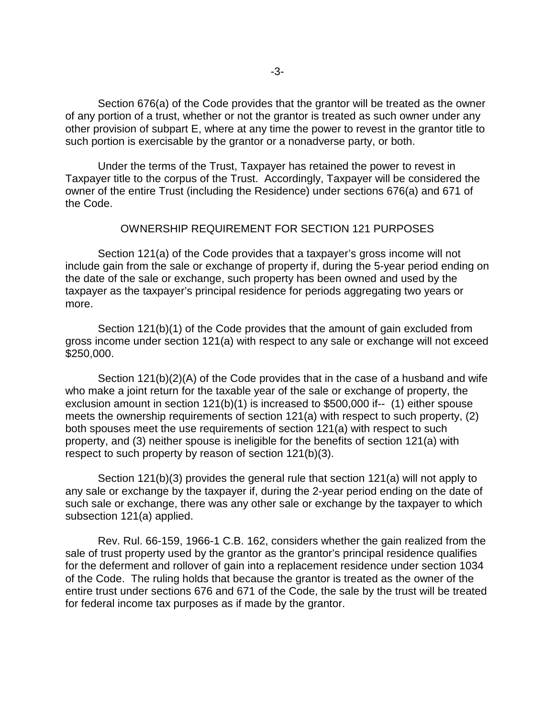Section 676(a) of the Code provides that the grantor will be treated as the owner of any portion of a trust, whether or not the grantor is treated as such owner under any other provision of subpart E, where at any time the power to revest in the grantor title to such portion is exercisable by the grantor or a nonadverse party, or both.

Under the terms of the Trust, Taxpayer has retained the power to revest in Taxpayer title to the corpus of the Trust. Accordingly, Taxpayer will be considered the owner of the entire Trust (including the Residence) under sections 676(a) and 671 of the Code.

## OWNERSHIP REQUIREMENT FOR SECTION 121 PURPOSES

Section 121(a) of the Code provides that a taxpayer's gross income will not include gain from the sale or exchange of property if, during the 5-year period ending on the date of the sale or exchange, such property has been owned and used by the taxpayer as the taxpayer's principal residence for periods aggregating two years or more.

Section 121(b)(1) of the Code provides that the amount of gain excluded from gross income under section 121(a) with respect to any sale or exchange will not exceed \$250,000.

Section 121(b)(2)(A) of the Code provides that in the case of a husband and wife who make a joint return for the taxable year of the sale or exchange of property, the exclusion amount in section 121(b)(1) is increased to \$500,000 if-- (1) either spouse meets the ownership requirements of section 121(a) with respect to such property, (2) both spouses meet the use requirements of section 121(a) with respect to such property, and (3) neither spouse is ineligible for the benefits of section 121(a) with respect to such property by reason of section 121(b)(3).

Section 121(b)(3) provides the general rule that section 121(a) will not apply to any sale or exchange by the taxpayer if, during the 2-year period ending on the date of such sale or exchange, there was any other sale or exchange by the taxpayer to which subsection 121(a) applied.

Rev. Rul. 66-159, 1966-1 C.B. 162, considers whether the gain realized from the sale of trust property used by the grantor as the grantor's principal residence qualifies for the deferment and rollover of gain into a replacement residence under section 1034 of the Code. The ruling holds that because the grantor is treated as the owner of the entire trust under sections 676 and 671 of the Code, the sale by the trust will be treated for federal income tax purposes as if made by the grantor.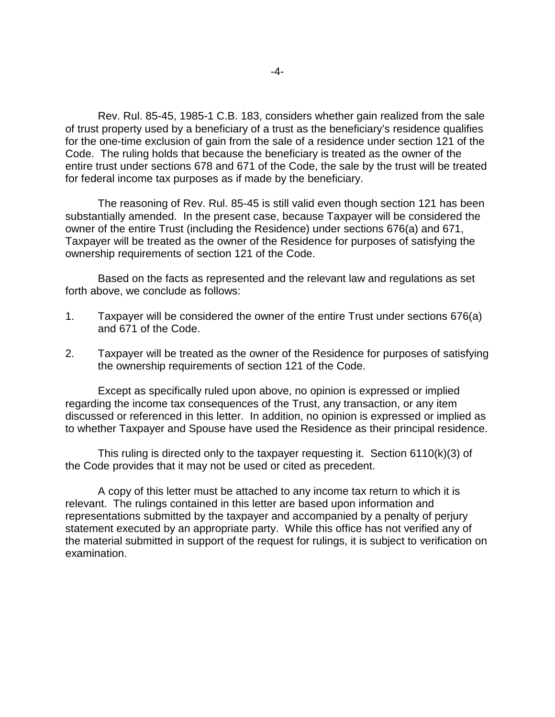Rev. Rul. 85-45, 1985-1 C.B. 183, considers whether gain realized from the sale of trust property used by a beneficiary of a trust as the beneficiary's residence qualifies for the one-time exclusion of gain from the sale of a residence under section 121 of the Code. The ruling holds that because the beneficiary is treated as the owner of the entire trust under sections 678 and 671 of the Code, the sale by the trust will be treated for federal income tax purposes as if made by the beneficiary.

The reasoning of Rev. Rul. 85-45 is still valid even though section 121 has been substantially amended. In the present case, because Taxpayer will be considered the owner of the entire Trust (including the Residence) under sections 676(a) and 671, Taxpayer will be treated as the owner of the Residence for purposes of satisfying the ownership requirements of section 121 of the Code.

Based on the facts as represented and the relevant law and regulations as set forth above, we conclude as follows:

- 1. Taxpayer will be considered the owner of the entire Trust under sections 676(a) and 671 of the Code.
- 2. Taxpayer will be treated as the owner of the Residence for purposes of satisfying the ownership requirements of section 121 of the Code.

 Except as specifically ruled upon above, no opinion is expressed or implied regarding the income tax consequences of the Trust, any transaction, or any item discussed or referenced in this letter. In addition, no opinion is expressed or implied as to whether Taxpayer and Spouse have used the Residence as their principal residence.

 This ruling is directed only to the taxpayer requesting it. Section 6110(k)(3) of the Code provides that it may not be used or cited as precedent.

 A copy of this letter must be attached to any income tax return to which it is relevant. The rulings contained in this letter are based upon information and representations submitted by the taxpayer and accompanied by a penalty of perjury statement executed by an appropriate party. While this office has not verified any of the material submitted in support of the request for rulings, it is subject to verification on examination.